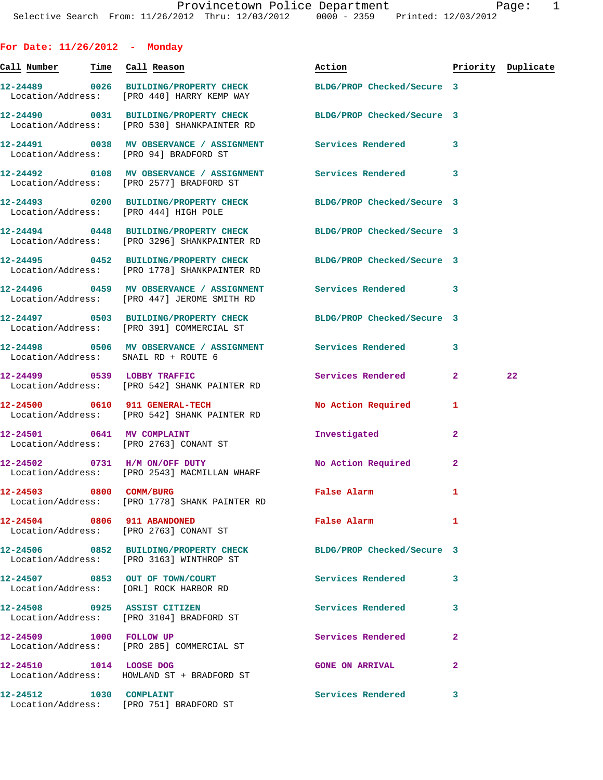**For Date: 11/26/2012 - Monday**

Call Number Time Call Reason **Reason Action Action** Priority Duplicate **12-24489 0026 BUILDING/PROPERTY CHECK BLDG/PROP Checked/Secure 3**  Location/Address: [PRO 440] HARRY KEMP WAY **12-24490 0031 BUILDING/PROPERTY CHECK BLDG/PROP Checked/Secure 3**  Location/Address: [PRO 530] SHANKPAINTER RD **12-24491 0038 MV OBSERVANCE / ASSIGNMENT Services Rendered 3**  Location/Address: [PRO 94] BRADFORD ST **12-24492 0108 MV OBSERVANCE / ASSIGNMENT Services Rendered 3**  Location/Address: [PRO 2577] BRADFORD ST **12-24493 0200 BUILDING/PROPERTY CHECK BLDG/PROP Checked/Secure 3**  Location/Address: [PRO 444] HIGH POLE **12-24494 0448 BUILDING/PROPERTY CHECK BLDG/PROP Checked/Secure 3**  Location/Address: [PRO 3296] SHANKPAINTER RD **12-24495 0452 BUILDING/PROPERTY CHECK BLDG/PROP Checked/Secure 3**  Location/Address: [PRO 1778] SHANKPAINTER RD **12-24496 0459 MV OBSERVANCE / ASSIGNMENT Services Rendered 3**  Location/Address: [PRO 447] JEROME SMITH RD **12-24497 0503 BUILDING/PROPERTY CHECK BLDG/PROP Checked/Secure 3**  Location/Address: [PRO 391] COMMERCIAL ST **12-24498 0506 MV OBSERVANCE / ASSIGNMENT Services Rendered 3**  Location/Address: SNAIL RD + ROUTE 6 **12-24499 0539 LOBBY TRAFFIC Services Rendered 2 22**  Location/Address: [PRO 542] SHANK PAINTER RD **12-24500 0610 911 GENERAL-TECH No Action Required 1**  Location/Address: [PRO 542] SHANK PAINTER RD **12-24501 0641 MV COMPLAINT Investigated 2**  Location/Address: [PRO 2763] CONANT ST **12-24502 0731 H/M ON/OFF DUTY No Action Required 2**  Location/Address: [PRO 2543] MACMILLAN WHARF **12-24503 0800 COMM/BURG False Alarm 1**  Location/Address: [PRO 1778] SHANK PAINTER RD **12-24504 0806 911 ABANDONED False Alarm 1**  Location/Address: [PRO 2763] CONANT ST **12-24506 0852 BUILDING/PROPERTY CHECK BLDG/PROP Checked/Secure 3**  Location/Address: [PRO 3163] WINTHROP ST **12-24507 0853 OUT OF TOWN/COURT Services Rendered 3**  Location/Address: [ORL] ROCK HARBOR RD **12-24508 0925 ASSIST CITIZEN Services Rendered 3**  Location/Address: [PRO 3104] BRADFORD ST **12-24509 1000 FOLLOW UP Services Rendered 2**  Location/Address: [PRO 285] COMMERCIAL ST **12-24510 1014** LOOSE DOG **GONE ON ARRIVAL 2**  Location/Address: HOWLAND ST + BRADFORD ST **12-24512 1030 COMPLAINT Services Rendered 3**  Location/Address: [PRO 751] BRADFORD ST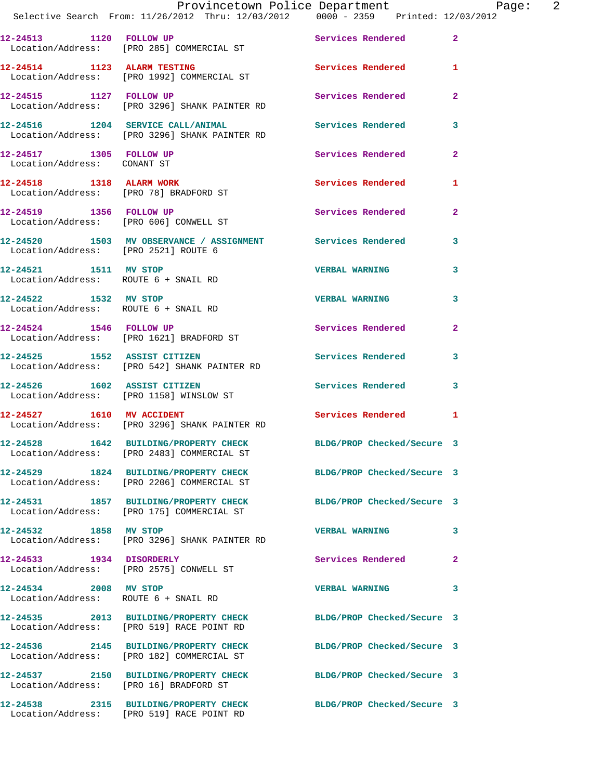| Selective Search From: 11/26/2012 Thru: 12/03/2012 0000 - 2359 Printed: 12/03/2012                            |  |  | Provincetown Police Department |                            |                   |                |  |
|---------------------------------------------------------------------------------------------------------------|--|--|--------------------------------|----------------------------|-------------------|----------------|--|
| 12-24513 1120 FOLLOW UP<br>Location/Address: [PRO 285] COMMERCIAL ST                                          |  |  |                                | Services Rendered          |                   | $\mathbf{2}$   |  |
| 12-24514 1123 ALARM TESTING<br>Location/Address: [PRO 1992] COMMERCIAL ST                                     |  |  |                                | Services Rendered          |                   | $\mathbf{1}$   |  |
| 12-24515 1127 FOLLOW UP<br>Location/Address: [PRO 3296] SHANK PAINTER RD                                      |  |  |                                | Services Rendered          |                   | $\overline{2}$ |  |
| 12-24516 1204 SERVICE CALL/ANIMAL Services Rendered<br>Location/Address: [PRO 3296] SHANK PAINTER RD          |  |  |                                |                            |                   | 3              |  |
| 12-24517 1305 FOLLOW UP<br>Location/Address: CONANT ST                                                        |  |  |                                | Services Rendered          |                   | $\overline{2}$ |  |
| 12-24518 1318 ALARM WORK<br>Location/Address: [PRO 78] BRADFORD ST                                            |  |  |                                |                            | Services Rendered | 1              |  |
| 12-24519 1356 FOLLOW UP<br>Location/Address: [PRO 606] CONWELL ST                                             |  |  |                                | Services Rendered          |                   | $\overline{2}$ |  |
| 12-24520 1503 MV OBSERVANCE / ASSIGNMENT Services Rendered<br>Location/Address: [PRO 2521] ROUTE 6            |  |  |                                |                            |                   | 3              |  |
| 12-24521 1511 MV STOP<br>Location/Address: ROUTE 6 + SNAIL RD                                                 |  |  |                                | <b>VERBAL WARNING</b>      |                   | 3              |  |
| 12-24522 1532 MV STOP<br>Location/Address: ROUTE 6 + SNAIL RD                                                 |  |  |                                | <b>VERBAL WARNING</b>      |                   | 3              |  |
| 12-24524 1546 FOLLOW UP<br>Location/Address: [PRO 1621] BRADFORD ST                                           |  |  |                                | <b>Services Rendered</b>   |                   | $\mathbf{2}$   |  |
| 12-24525 1552 ASSIST CITIZEN<br>Location/Address: [PRO 542] SHANK PAINTER RD                                  |  |  |                                | Services Rendered          |                   | 3              |  |
| 12-24526 1602 ASSIST CITIZEN<br>Location/Address: [PRO 1158] WINSLOW ST                                       |  |  |                                | Services Rendered          |                   | 3              |  |
| 12-24527 1610 MV ACCIDENT<br>Location/Address: [PRO 3296] SHANK PAINTER RD                                    |  |  |                                | Services Rendered 1        |                   |                |  |
| 12-24528 1642 BUILDING/PROPERTY CHECK<br>Location/Address: [PRO 2483] COMMERCIAL ST                           |  |  |                                | BLDG/PROP Checked/Secure 3 |                   |                |  |
| 12-24529 1824 BUILDING/PROPERTY CHECK<br>Location/Address: [PRO 2206] COMMERCIAL ST                           |  |  |                                | BLDG/PROP Checked/Secure 3 |                   |                |  |
| 12-24531 1857 BUILDING/PROPERTY CHECK<br>Location/Address: [PRO 175] COMMERCIAL ST                            |  |  |                                | BLDG/PROP Checked/Secure 3 |                   |                |  |
| 12-24532 1858 MV STOP<br>Location/Address: [PRO 3296] SHANK PAINTER RD                                        |  |  |                                | <b>VERBAL WARNING</b>      |                   | 3              |  |
| 12-24533 1934 DISORDERLY<br>Location/Address: [PRO 2575] CONWELL ST                                           |  |  |                                | Services Rendered          |                   | $\mathbf{2}$   |  |
| 12-24534 2008 MV STOP<br>Location/Address: ROUTE 6 + SNAIL RD                                                 |  |  |                                | <b>VERBAL WARNING</b>      |                   | 3              |  |
| 12-24535 2013 BUILDING/PROPERTY CHECK BLDG/PROP Checked/Secure 3<br>Location/Address: [PRO 519] RACE POINT RD |  |  |                                |                            |                   |                |  |
| 12-24536 2145 BUILDING/PROPERTY CHECK BLDG/PROP Checked/Secure 3<br>Location/Address: [PRO 182] COMMERCIAL ST |  |  |                                |                            |                   |                |  |
| 12-24537 2150 BUILDING/PROPERTY CHECK<br>Location/Address: [PRO 16] BRADFORD ST                               |  |  |                                | BLDG/PROP Checked/Secure 3 |                   |                |  |
| 12-24538 2315 BUILDING/PROPERTY CHECK BLDG/PROP Checked/Secure 3                                              |  |  |                                |                            |                   |                |  |

Location/Address: [PRO 519] RACE POINT RD

Page: 2<br>2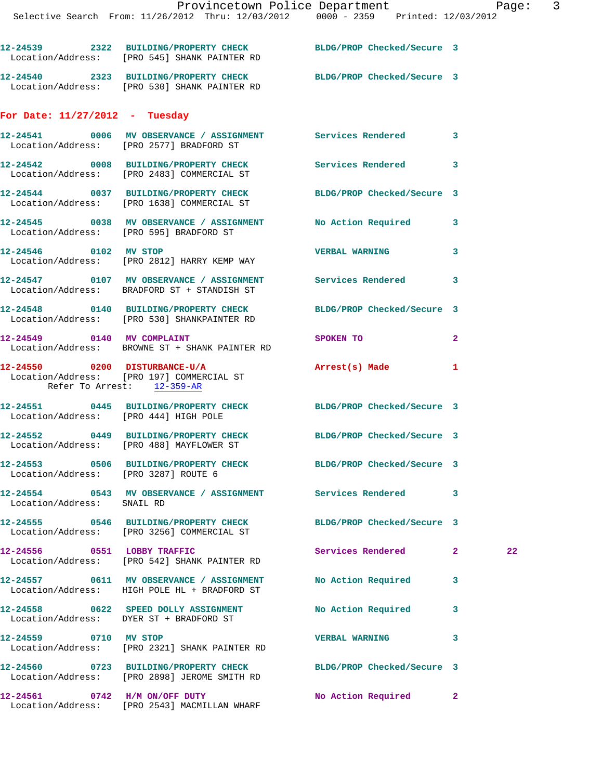|                                      | Selective Search From: 11/26/2012 Thru: 12/03/2012 0000 - 2359 Printed: 12/03/2012                               |                            |              |    |
|--------------------------------------|------------------------------------------------------------------------------------------------------------------|----------------------------|--------------|----|
|                                      | 12-24539 2322 BUILDING/PROPERTY CHECK BLDG/PROP Checked/Secure 3<br>Location/Address: [PRO 545] SHANK PAINTER RD |                            |              |    |
|                                      | 12-24540 2323 BUILDING/PROPERTY CHECK BLDG/PROP Checked/Secure 3<br>Location/Address: [PRO 530] SHANK PAINTER RD |                            |              |    |
| For Date: $11/27/2012$ - Tuesday     |                                                                                                                  |                            |              |    |
|                                      | 12-24541 0006 MV OBSERVANCE / ASSIGNMENT Services Rendered<br>Location/Address: [PRO 2577] BRADFORD ST           |                            | $\mathbf{3}$ |    |
|                                      | 12-24542 0008 BUILDING/PROPERTY CHECK Services Rendered<br>Location/Address: [PRO 2483] COMMERCIAL ST            |                            | 3            |    |
|                                      | 12-24544 0037 BUILDING/PROPERTY CHECK<br>Location/Address: [PRO 1638] COMMERCIAL ST                              | BLDG/PROP Checked/Secure 3 |              |    |
|                                      | 12-24545 0038 MV OBSERVANCE / ASSIGNMENT No Action Required<br>Location/Address: [PRO 595] BRADFORD ST           |                            | 3            |    |
| 12-24546 0102 MV STOP                | Location/Address: [PRO 2812] HARRY KEMP WAY                                                                      | <b>VERBAL WARNING</b>      | 3            |    |
|                                      | 12-24547 0107 MV OBSERVANCE / ASSIGNMENT Services Rendered<br>Location/Address: BRADFORD ST + STANDISH ST        |                            | 3            |    |
|                                      | 12-24548 0140 BUILDING/PROPERTY CHECK<br>Location/Address: [PRO 530] SHANKPAINTER RD                             | BLDG/PROP Checked/Secure 3 |              |    |
| 12-24549 0140 MV COMPLAINT           | Location/Address: BROWNE ST + SHANK PAINTER RD                                                                   | SPOKEN TO                  | $\mathbf{2}$ |    |
|                                      | 12-24550 0200 DISTURBANCE-U/A<br>Location/Address: [PRO 197] COMMERCIAL ST<br>Refer To Arrest: 12-359-AR         | Arrest(s) Made             | 1            |    |
|                                      | 12-24551 0445 BUILDING/PROPERTY CHECK BLDG/PROP Checked/Secure 3<br>Location/Address: [PRO 444] HIGH POLE        |                            |              |    |
|                                      | 12-24552 0449 BUILDING/PROPERTY CHECK BLDG/PROP Checked/Secure 3<br>Location/Address: [PRO 488] MAYFLOWER ST     |                            |              |    |
| Location/Address: [PRO 3287] ROUTE 6 | 12-24553 0506 BUILDING/PROPERTY CHECK BLDG/PROP Checked/Secure 3                                                 |                            |              |    |
| Location/Address: SNAIL RD           | 12-24554 0543 MV OBSERVANCE / ASSIGNMENT Services Rendered                                                       |                            | 3            |    |
|                                      | 12-24555 0546 BUILDING/PROPERTY CHECK<br>Location/Address: [PRO 3256] COMMERCIAL ST                              | BLDG/PROP Checked/Secure 3 |              |    |
| 12-24556 0551 LOBBY TRAFFIC          | Location/Address: [PRO 542] SHANK PAINTER RD                                                                     | Services Rendered          | $\mathbf{2}$ | 22 |
|                                      | 12-24557 0611 MV OBSERVANCE / ASSIGNMENT No Action Required<br>Location/Address: HIGH POLE HL + BRADFORD ST      |                            | 3            |    |
|                                      | 12-24558 0622 SPEED DOLLY ASSIGNMENT<br>Location/Address: DYER ST + BRADFORD ST                                  | <b>No Action Required</b>  | 3            |    |
| 12-24559 0710 MV STOP                | Location/Address: [PRO 2321] SHANK PAINTER RD                                                                    | <b>VERBAL WARNING</b>      | 3            |    |
|                                      | 12-24560 0723 BUILDING/PROPERTY CHECK BLDG/PROP Checked/Secure 3<br>Location/Address: [PRO 2898] JEROME SMITH RD |                            |              |    |
|                                      | 12-24561 0742 H/M ON/OFF DUTY                                                                                    | No Action Required         | $\mathbf{2}$ |    |

Location/Address: [PRO 2543] MACMILLAN WHARF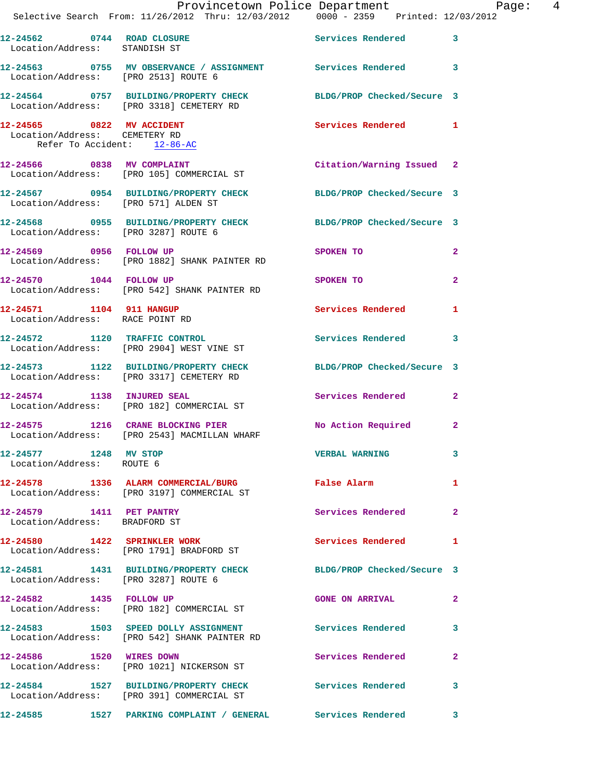|                                                                                           | Provincetown Police Department Page: 4<br>Selective Search From: $11/26/2012$ Thru: $12/03/2012$ 0000 - 2359 Printed: $12/03/2012$ |                           |                |  |
|-------------------------------------------------------------------------------------------|------------------------------------------------------------------------------------------------------------------------------------|---------------------------|----------------|--|
|                                                                                           |                                                                                                                                    |                           |                |  |
| Location/Address: STANDISH ST                                                             | 12-24562 0744 ROAD CLOSURE Services Rendered 3                                                                                     |                           |                |  |
|                                                                                           | 12-24563 0755 MV OBSERVANCE / ASSIGNMENT Services Rendered 3<br>Location/Address: [PRO 2513] ROUTE 6                               |                           |                |  |
|                                                                                           | 12-24564 0757 BUILDING/PROPERTY CHECK BLDG/PROP Checked/Secure 3<br>Location/Address: [PRO 3318] CEMETERY RD                       |                           |                |  |
| 12-24565 0822 MV ACCIDENT<br>Location/Address: CEMETERY RD<br>Refer To Accident: 12-86-AC |                                                                                                                                    | Services Rendered 1       |                |  |
|                                                                                           | 12-24566 0838 MV COMPLAINT<br>Location/Address: [PRO 105] COMMERCIAL ST                                                            | Citation/Warning Issued 2 |                |  |
| Location/Address: [PRO 571] ALDEN ST                                                      | 12-24567 0954 BUILDING/PROPERTY CHECK BLDG/PROP Checked/Secure 3                                                                   |                           |                |  |
|                                                                                           | 12-24568 0955 BUILDING/PROPERTY CHECK BLDG/PROP Checked/Secure 3<br>Location/Address: [PRO 3287] ROUTE 6                           |                           |                |  |
|                                                                                           | 12-24569 0956 FOLLOW UP<br>Location/Address: [PRO 1882] SHANK PAINTER RD                                                           | SPOKEN TO                 | $\overline{2}$ |  |
| 12-24570 1044 FOLLOW UP                                                                   | Location/Address: [PRO 542] SHANK PAINTER RD                                                                                       | SPOKEN TO                 | $\mathbf{2}$   |  |
| 12-24571 1104 911 HANGUP<br>Location/Address: RACE POINT RD                               |                                                                                                                                    | Services Rendered 1       |                |  |
|                                                                                           | 12-24572 1120 TRAFFIC CONTROL<br>Location/Address: [PRO 2904] WEST VINE ST                                                         | Services Rendered 3       |                |  |
|                                                                                           | 12-24573   1122   BUILDING/PROPERTY CHECK   BLDG/PROP Checked/Secure   3<br>Location/Address: [PRO 3317] CEMETERY RD               |                           |                |  |
|                                                                                           | 12-24574 1138 INJURED SEAL<br>Location/Address: [PRO 182] COMMERCIAL ST                                                            | Services Rendered 2       |                |  |
|                                                                                           | 12-24575 1216 CRANE BLOCKING PIER No Action Required 2<br>Location/Address: [PRO 2543] MACMILLAN WHARF                             |                           |                |  |
| 12-24577 1248 MV STOP<br>Location/Address: ROUTE 6                                        |                                                                                                                                    | VERBAL WARNING 3          |                |  |
|                                                                                           | 12-24578 1336 ALARM COMMERCIAL/BURG False Alarm<br>Location/Address: [PRO 3197] COMMERCIAL ST                                      |                           | $\mathbf{1}$   |  |
| 12-24579 1411 PET PANTRY<br>Location/Address: BRADFORD ST                                 |                                                                                                                                    | Services Rendered 2       |                |  |
|                                                                                           | 12-24580 1422 SPRINKLER WORK<br>Location/Address: [PRO 1791] BRADFORD ST                                                           | Services Rendered         | 1              |  |
|                                                                                           | 12-24581 1431 BUILDING/PROPERTY CHECK BLDG/PROP Checked/Secure 3<br>Location/Address: [PRO 3287] ROUTE 6                           |                           |                |  |
|                                                                                           | 12-24582 1435 FOLLOW UP<br>Location/Address: [PRO 182] COMMERCIAL ST                                                               | <b>GONE ON ARRIVAL</b>    | $\mathbf{2}$   |  |
|                                                                                           | 12-24583 1503 SPEED DOLLY ASSIGNMENT Services Rendered 3<br>Location/Address: [PRO 542] SHANK PAINTER RD                           |                           |                |  |
|                                                                                           | 12-24586 1520 WIRES DOWN<br>Location/Address: [PRO 1021] NICKERSON ST                                                              | Services Rendered         | $\mathbf{2}$   |  |
|                                                                                           | 12-24584 1527 BUILDING/PROPERTY CHECK Services Rendered<br>Location/Address: [PRO 391] COMMERCIAL ST                               |                           | 3              |  |
|                                                                                           | 12-24585 1527 PARKING COMPLAINT / GENERAL Services Rendered 3                                                                      |                           |                |  |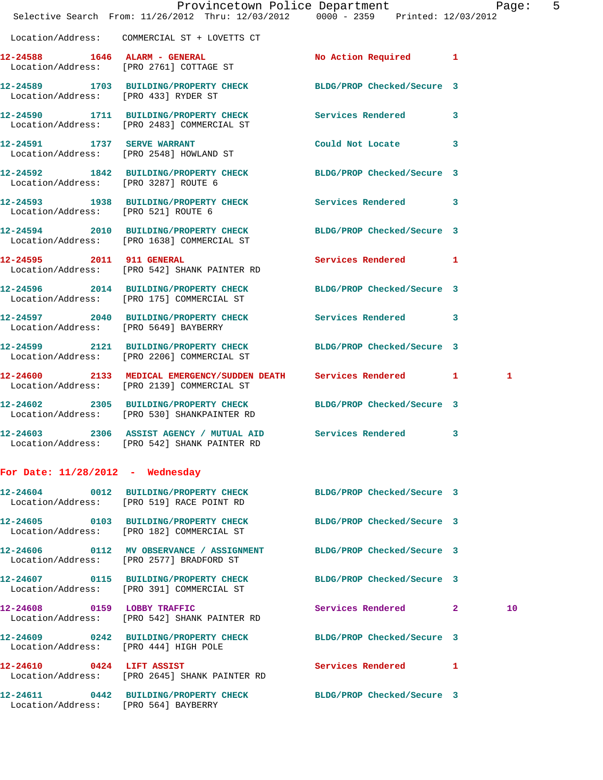|                                      | Provincetown Police Department Page: 5<br>Selective Search From: 11/26/2012 Thru: 12/03/2012 0000 - 2359 Printed: 12/03/2012 |                            |   |    |  |
|--------------------------------------|------------------------------------------------------------------------------------------------------------------------------|----------------------------|---|----|--|
|                                      | Location/Address: COMMERCIAL ST + LOVETTS CT                                                                                 |                            |   |    |  |
|                                      | 12-24588 1646 ALARM - GENERAL<br>Location/Address: [PRO 2761] COTTAGE ST                                                     | No Action Required 1       |   |    |  |
| Location/Address: [PRO 433] RYDER ST | 12-24589 1703 BUILDING/PROPERTY CHECK BLDG/PROP Checked/Secure 3                                                             |                            |   |    |  |
|                                      | 12-24590 1711 BUILDING/PROPERTY CHECK Services Rendered 3<br>Location/Address: [PRO 2483] COMMERCIAL ST                      |                            |   |    |  |
|                                      | 12-24591 1737 SERVE WARRANT<br>Location/Address: [PRO 2548] HOWLAND ST                                                       | Could Not Locate           | 3 |    |  |
| Location/Address: [PRO 3287] ROUTE 6 | 12-24592 1842 BUILDING/PROPERTY CHECK BLDG/PROP Checked/Secure 3                                                             |                            |   |    |  |
|                                      | 12-24593 1938 BUILDING/PROPERTY CHECK Services Rendered 3<br>Location/Address: [PRO 521] ROUTE 6                             |                            |   |    |  |
|                                      | 12-24594 2010 BUILDING/PROPERTY CHECK<br>Location/Address: [PRO 1638] COMMERCIAL ST                                          | BLDG/PROP Checked/Secure 3 |   |    |  |
|                                      | 12-24595 2011 911 GENERAL<br>Location/Address: [PRO 542] SHANK PAINTER RD                                                    | Services Rendered 1        |   |    |  |
|                                      | 12-24596 2014 BUILDING/PROPERTY CHECK BLDG/PROP Checked/Secure 3<br>Location/Address: [PRO 175] COMMERCIAL ST                |                            |   |    |  |
|                                      | 12-24597 2040 BUILDING/PROPERTY CHECK Services Rendered 3<br>Location/Address: [PRO 5649] BAYBERRY                           |                            |   |    |  |
|                                      | 12-24599 2121 BUILDING/PROPERTY CHECK<br>Location/Address: [PRO 2206] COMMERCIAL ST                                          | BLDG/PROP Checked/Secure 3 |   |    |  |
|                                      | 12-24600 2133 MEDICAL EMERGENCY/SUDDEN DEATH Services Rendered 1<br>Location/Address: [PRO 2139] COMMERCIAL ST               |                            |   | 1  |  |
|                                      | 12-24602 2305 BUILDING/PROPERTY CHECK<br>Location/Address: [PRO 530] SHANKPAINTER RD                                         | BLDG/PROP Checked/Secure 3 |   |    |  |
|                                      | 12-24603 2306 ASSIST AGENCY / MUTUAL AID Services Rendered 3<br>Location/Address: [PRO 542] SHANK PAINTER RD                 |                            |   |    |  |
| For Date: $11/28/2012$ - Wednesday   |                                                                                                                              |                            |   |    |  |
|                                      | 12-24604 0012 BUILDING/PROPERTY CHECK BLDG/PROP Checked/Secure 3<br>Location/Address: [PRO 519] RACE POINT RD                |                            |   |    |  |
|                                      | 12-24605 0103 BUILDING/PROPERTY CHECK BLDG/PROP Checked/Secure 3<br>Location/Address: [PRO 182] COMMERCIAL ST                |                            |   |    |  |
|                                      | 12-24606 0112 MV OBSERVANCE / ASSIGNMENT BLDG/PROP Checked/Secure 3<br>Location/Address: [PRO 2577] BRADFORD ST              |                            |   |    |  |
|                                      | 12-24607 0115 BUILDING/PROPERTY CHECK BLDG/PROP Checked/Secure 3<br>Location/Address: [PRO 391] COMMERCIAL ST                |                            |   |    |  |
|                                      | 12-24608 0159 LOBBY TRAFFIC<br>Location/Address: [PRO 542] SHANK PAINTER RD                                                  | Services Rendered 2        |   | 10 |  |
|                                      | 12-24609 0242 BUILDING/PROPERTY CHECK BLDG/PROP Checked/Secure 3<br>Location/Address: [PRO 444] HIGH POLE                    |                            |   |    |  |
|                                      | 12-24610 0424 LIFT ASSIST<br>Location/Address: [PRO 2645] SHANK PAINTER RD                                                   | Services Rendered 1        |   |    |  |
| Location/Address: [PRO 564] BAYBERRY | 12-24611 0442 BUILDING/PROPERTY CHECK BLDG/PROP Checked/Secure 3                                                             |                            |   |    |  |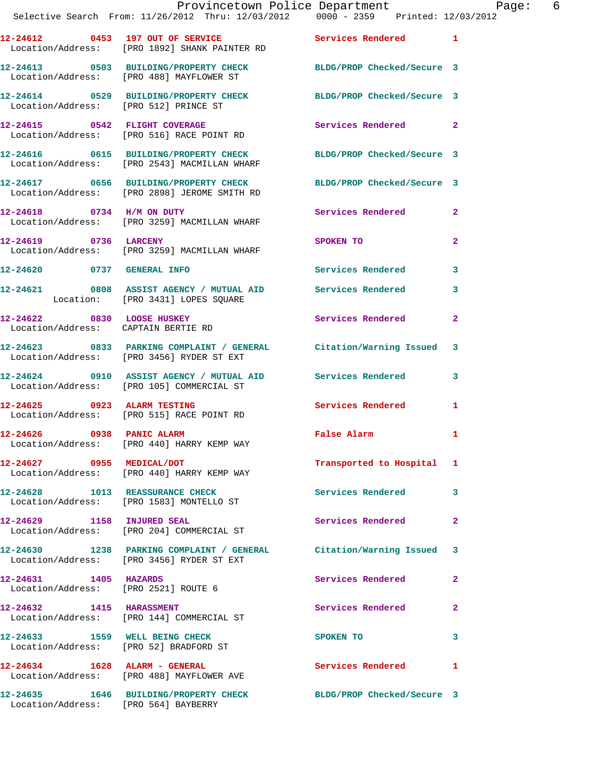|                                     | Provincetown Police Department The Rage: 6<br>Selective Search From: 11/26/2012 Thru: 12/03/2012 0000 - 2359 Printed: 12/03/2012 |                                                                                                               |                |
|-------------------------------------|----------------------------------------------------------------------------------------------------------------------------------|---------------------------------------------------------------------------------------------------------------|----------------|
|                                     | 12-24612 0453 197 OUT OF SERVICE Services Rendered 1<br>Location/Address: [PRO 1892] SHANK PAINTER RD                            |                                                                                                               |                |
|                                     | 12-24613 0503 BUILDING/PROPERTY CHECK BLDG/PROP Checked/Secure 3<br>Location/Address: [PRO 488] MAYFLOWER ST                     |                                                                                                               |                |
|                                     | 12-24614 0529 BUILDING/PROPERTY CHECK BLDG/PROP Checked/Secure 3<br>Location/Address: [PRO 512] PRINCE ST                        |                                                                                                               |                |
|                                     | 12-24615 0542 FLIGHT COVERAGE<br>Location/Address: [PRO 516] RACE POINT RD                                                       | Services Rendered 2                                                                                           |                |
|                                     | 12-24616 0615 BUILDING/PROPERTY CHECK BLDG/PROP Checked/Secure 3<br>Location/Address: [PRO 2543] MACMILLAN WHARF                 |                                                                                                               |                |
|                                     | 12-24617 0656 BUILDING/PROPERTY CHECK BLDG/PROP Checked/Secure 3<br>Location/Address: [PRO 2898] JEROME SMITH RD                 |                                                                                                               |                |
|                                     | 12-24618 0734 H/M ON DUTY<br>Location/Address: [PRO 3259] MACMILLAN WHARF                                                        | Services Rendered 2                                                                                           |                |
| 12-24619 0736 LARCENY               | Location/Address: [PRO 3259] MACMILLAN WHARF                                                                                     | SPOKEN TO AND THE SPOKEN OF THE STATE OF THE STATE OF THE STATE OF THE STATE OF THE STATE OF THE STATE OF THE | $\overline{2}$ |
|                                     | 12-24620 0737 GENERAL INFO                                                                                                       | Services Rendered 3                                                                                           |                |
|                                     | 12-24621 0808 ASSIST AGENCY / MUTUAL AID Services Rendered 3<br>Location: [PRO 3431] LOPES SQUARE                                |                                                                                                               |                |
| Location/Address: CAPTAIN BERTIE RD | 12-24622 0830 LOOSE HUSKEY                                                                                                       | Services Rendered 2                                                                                           |                |
|                                     | 12-24623 0833 PARKING COMPLAINT / GENERAL Citation/Warning Issued 3<br>Location/Address: [PRO 3456] RYDER ST EXT                 |                                                                                                               |                |
|                                     | 12-24624 0910 ASSIST AGENCY / MUTUAL AID Services Rendered 3<br>Location/Address: [PRO 105] COMMERCIAL ST                        |                                                                                                               |                |
|                                     | 12-24625 0923 ALARM TESTING<br>Location/Address: [PRO 515] RACE POINT RD                                                         | Services Rendered 1                                                                                           |                |
| 12-24626 0938 PANIC ALARM           | Location/Address: [PRO 440] HARRY KEMP WAY                                                                                       | False Alarm                                                                                                   | 1              |
|                                     | 12-24627 0955 MEDICAL/DOT<br>Location/Address: [PRO 440] HARRY KEMP WAY                                                          | Transported to Hospital 1                                                                                     |                |
|                                     | 12-24628 1013 REASSURANCE CHECK<br>Location/Address: [PRO 1583] MONTELLO ST                                                      | Services Rendered 3                                                                                           |                |
|                                     | 12-24629 1158 INJURED SEAL<br>Location/Address: [PRO 204] COMMERCIAL ST                                                          | Services Rendered                                                                                             | $\mathbf{2}$   |
|                                     | 12-24630 1238 PARKING COMPLAINT / GENERAL Citation/Warning Issued 3<br>Location/Address: [PRO 3456] RYDER ST EXT                 |                                                                                                               |                |
| 12-24631 1405 HAZARDS               | Location/Address: [PRO 2521] ROUTE 6                                                                                             | Services Rendered 2                                                                                           |                |
|                                     | 12-24632 1415 HARASSMENT<br>Location/Address: [PRO 144] COMMERCIAL ST                                                            | Services Rendered                                                                                             | $\mathbf{2}$   |
|                                     | 12-24633 1559 WELL BEING CHECK<br>Location/Address: [PRO 52] BRADFORD ST                                                         | SPOKEN TO<br>$\sim$ 3                                                                                         |                |
|                                     | 12-24634 1628 ALARM - GENERAL<br>Location/Address: [PRO 488] MAYFLOWER AVE                                                       | <b>Services Rendered</b>                                                                                      | 1              |
|                                     | 12-24635 1646 BUILDING/PROPERTY CHECK BLDG/PROP Checked/Secure 3<br>Location/Address: [PRO 564] BAYBERRY                         |                                                                                                               |                |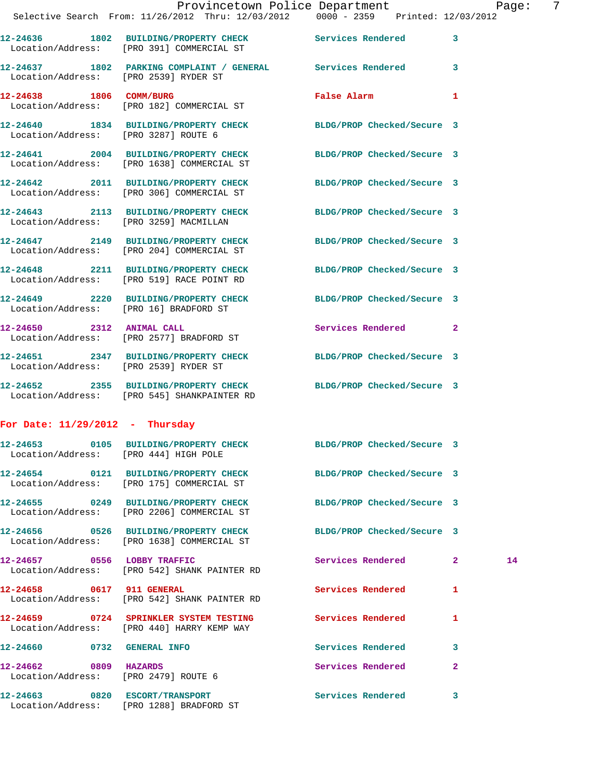|                                                               | Provincetown Police Department Page:<br>Selective Search From: 11/26/2012 Thru: 12/03/2012  0000 - 2359  Printed: 12/03/2012 |                                             |              |    | $\overline{7}$ |
|---------------------------------------------------------------|------------------------------------------------------------------------------------------------------------------------------|---------------------------------------------|--------------|----|----------------|
|                                                               | 12-24636 1802 BUILDING/PROPERTY CHECK Services Rendered 3<br>Location/Address: [PRO 391] COMMERCIAL ST                       |                                             |              |    |                |
| Location/Address: [PRO 2539] RYDER ST                         | 12-24637 1802 PARKING COMPLAINT / GENERAL Services Rendered 3                                                                |                                             |              |    |                |
|                                                               | 12-24638 1806 COMM/BURG<br>Location/Address: [PRO 182] COMMERCIAL ST                                                         | False Alarm <b>Exercise Service Service</b> | $\mathbf{1}$ |    |                |
|                                                               | 12-24640 1834 BUILDING/PROPERTY CHECK BLDG/PROP Checked/Secure 3<br>Location/Address: [PRO 3287] ROUTE 6                     |                                             |              |    |                |
|                                                               | 12-24641 2004 BUILDING/PROPERTY CHECK BLDG/PROP Checked/Secure 3<br>Location/Address: [PRO 1638] COMMERCIAL ST               |                                             |              |    |                |
|                                                               | 12-24642 2011 BUILDING/PROPERTY CHECK BLDG/PROP Checked/Secure 3<br>Location/Address: [PRO 306] COMMERCIAL ST                |                                             |              |    |                |
|                                                               | 12-24643 2113 BUILDING/PROPERTY CHECK BLDG/PROP Checked/Secure 3<br>Location/Address: [PRO 3259] MACMILLAN                   |                                             |              |    |                |
|                                                               | 12-24647 2149 BUILDING/PROPERTY CHECK BLDG/PROP Checked/Secure 3<br>Location/Address: [PRO 204] COMMERCIAL ST                |                                             |              |    |                |
|                                                               | 12-24648 2211 BUILDING/PROPERTY CHECK BLDG/PROP Checked/Secure 3<br>Location/Address: [PRO 519] RACE POINT RD                |                                             |              |    |                |
| Location/Address: [PRO 16] BRADFORD ST                        | 12-24649 2220 BUILDING/PROPERTY CHECK BLDG/PROP Checked/Secure 3                                                             |                                             |              |    |                |
| 12-24650 2312 ANIMAL CALL                                     | Location/Address: [PRO 2577] BRADFORD ST                                                                                     | Services Rendered 2                         |              |    |                |
| Location/Address: [PRO 2539] RYDER ST                         | 12-24651 2347 BUILDING/PROPERTY CHECK BLDG/PROP Checked/Secure 3                                                             |                                             |              |    |                |
|                                                               | 12-24652 2355 BUILDING/PROPERTY CHECK BLDG/PROP Checked/Secure 3<br>Location/Address: [PRO 545] SHANKPAINTER RD              |                                             |              |    |                |
| For Date: $11/29/2012$ - Thursday                             |                                                                                                                              |                                             |              |    |                |
| Location/Address: [PRO 444] HIGH POLE                         | 12-24653 0105 BUILDING/PROPERTY CHECK                                                                                        | BLDG/PROP Checked/Secure 3                  |              |    |                |
|                                                               | 12-24654 0121 BUILDING/PROPERTY CHECK BLDG/PROP Checked/Secure 3<br>Location/Address: [PRO 175] COMMERCIAL ST                |                                             |              |    |                |
|                                                               | 12-24655 0249 BUILDING/PROPERTY CHECK<br>Location/Address: [PRO 2206] COMMERCIAL ST                                          | BLDG/PROP Checked/Secure 3                  |              |    |                |
|                                                               | 12-24656 0526 BUILDING/PROPERTY CHECK BLDG/PROP Checked/Secure 3<br>Location/Address: [PRO 1638] COMMERCIAL ST               |                                             |              |    |                |
|                                                               | 12-24657 0556 LOBBY TRAFFIC<br>Location/Address: [PRO 542] SHANK PAINTER RD                                                  | Services Rendered 2                         |              | 14 |                |
| 12-24658 0617 911 GENERAL                                     | Location/Address: [PRO 542] SHANK PAINTER RD                                                                                 | Services Rendered                           | $\mathbf{1}$ |    |                |
|                                                               | 12-24659 0724 SPRINKLER SYSTEM TESTING Services Rendered 1<br>Location/Address: [PRO 440] HARRY KEMP WAY                     |                                             |              |    |                |
| 12-24660 0732 GENERAL INFO                                    |                                                                                                                              | Services Rendered 3                         |              |    |                |
| 12-24662 0809 HAZARDS<br>Location/Address: [PRO 2479] ROUTE 6 |                                                                                                                              | Services Rendered                           | $\mathbf{2}$ |    |                |
| 12-24663 0820 ESCORT/TRANSPORT                                |                                                                                                                              | Services Rendered 3                         |              |    |                |

Location/Address: [PRO 1288] BRADFORD ST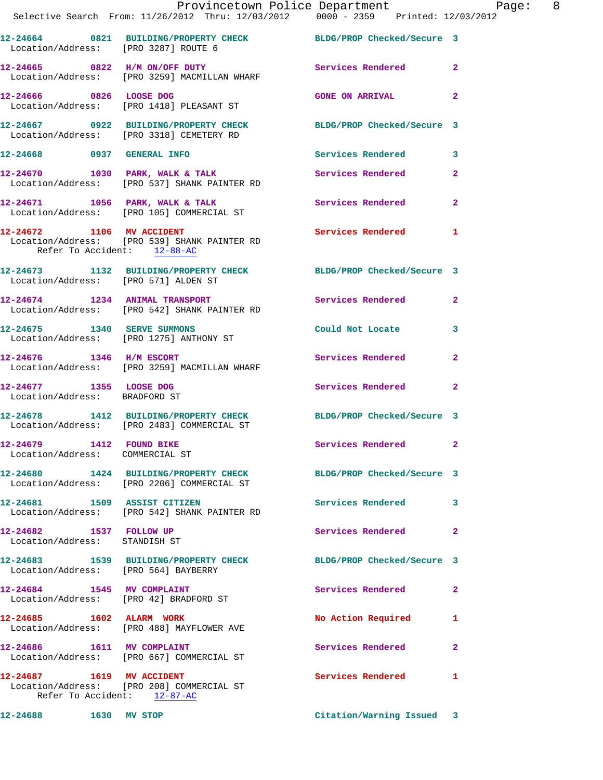|                                                             | Provincetown Police Department<br>Selective Search From: 11/26/2012 Thru: 12/03/2012 0000 - 2359 Printed: 12/03/2012 |                           |              |
|-------------------------------------------------------------|----------------------------------------------------------------------------------------------------------------------|---------------------------|--------------|
|                                                             | 12-24664 0821 BUILDING/PROPERTY CHECK BLDG/PROP Checked/Secure 3<br>Location/Address: [PRO 3287] ROUTE 6             |                           |              |
|                                                             | 12-24665 0822 H/M ON/OFF DUTY Services Rendered 2<br>Location/Address: [PRO 3259] MACMILLAN WHARF                    |                           |              |
|                                                             | 12-24666 0826 LOOSE DOG<br>Location/Address: [PRO 1418] PLEASANT ST                                                  | <b>GONE ON ARRIVAL</b>    | $\mathbf{2}$ |
|                                                             | 12-24667 0922 BUILDING/PROPERTY CHECK BLDG/PROP Checked/Secure 3<br>Location/Address: [PRO 3318] CEMETERY RD         |                           |              |
|                                                             | 12-24668 0937 GENERAL INFO                                                                                           | Services Rendered 3       |              |
|                                                             | 12-24670 1030 PARK, WALK & TALK<br>Location/Address: [PRO 537] SHANK PAINTER RD                                      | Services Rendered 2       |              |
|                                                             | 12-24671 1056 PARK, WALK & TALK 1999 Services Rendered 2<br>Location/Address: [PRO 105] COMMERCIAL ST                |                           |              |
| Refer To Accident: 12-88-AC                                 | 12-24672 1106 MV ACCIDENT<br>Location/Address: [PRO 539] SHANK PAINTER RD                                            | Services Rendered 1       |              |
| Location/Address: [PRO 571] ALDEN ST                        | 12-24673 1132 BUILDING/PROPERTY CHECK BLDG/PROP Checked/Secure 3                                                     |                           |              |
|                                                             | 12-24674 1234 ANIMAL TRANSPORT Services Rendered 2<br>Location/Address: [PRO 542] SHANK PAINTER RD                   |                           |              |
|                                                             | 12-24675 1340 SERVE SUMMONS<br>Location/Address: [PRO 1275] ANTHONY ST                                               | Could Not Locate 3        |              |
| 12-24676 1346 H/M ESCORT                                    | Location/Address: [PRO 3259] MACMILLAN WHARF                                                                         | Services Rendered 2       |              |
| 12-24677 1355 LOOSE DOG<br>Location/Address: BRADFORD ST    |                                                                                                                      | Services Rendered 2       |              |
|                                                             | 12-24678 1412 BUILDING/PROPERTY CHECK BLDG/PROP Checked/Secure 3<br>Location/Address: [PRO 2483] COMMERCIAL ST       |                           |              |
| 12-24679 1412 FOUND BIKE<br>Location/Address: COMMERCIAL ST |                                                                                                                      | Services Rendered 2       |              |
|                                                             | 12-24680 1424 BUILDING/PROPERTY CHECK BLDG/PROP Checked/Secure 3<br>Location/Address: [PRO 2206] COMMERCIAL ST       |                           |              |
|                                                             | 12-24681 1509 ASSIST CITIZEN<br>Location/Address: [PRO 542] SHANK PAINTER RD                                         | Services Rendered 3       |              |
| 12-24682 1537 FOLLOW UP<br>Location/Address: STANDISH ST    |                                                                                                                      | Services Rendered 2       |              |
| Location/Address: [PRO 564] BAYBERRY                        | 12-24683 1539 BUILDING/PROPERTY CHECK BLDG/PROP Checked/Secure 3                                                     |                           |              |
|                                                             | 12-24684 1545 MV COMPLAINT<br>Location/Address: [PRO 42] BRADFORD ST                                                 | Services Rendered 2       |              |
|                                                             | 12-24685 1602 ALARM WORK<br>Location/Address: [PRO 488] MAYFLOWER AVE                                                | No Action Required        | 1            |
| 12-24686 1611 MV COMPLAINT                                  | Location/Address: [PRO 667] COMMERCIAL ST                                                                            | Services Rendered         | $\mathbf{2}$ |
|                                                             | 12-24687   1619   MV   ACCIDENT<br>Location/Address: [PRO 208] COMMERCIAL ST<br>Refer To Accident: 12-87-AC          | Services Rendered         | $\mathbf{1}$ |
| 12-24688 1630 MV STOP                                       |                                                                                                                      | Citation/Warning Issued 3 |              |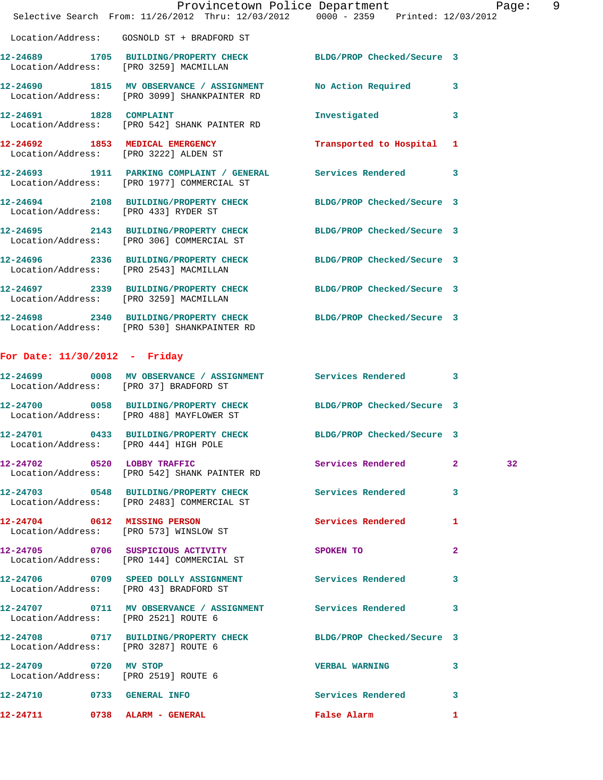|                                       | Provincetown Police Department Page: 9<br>Selective Search From: 11/26/2012 Thru: 12/03/2012 0000 - 2359 Printed: 12/03/2012 |                           |              |
|---------------------------------------|------------------------------------------------------------------------------------------------------------------------------|---------------------------|--------------|
|                                       | Location/Address: GOSNOLD ST + BRADFORD ST                                                                                   |                           |              |
|                                       | 12-24689 1705 BUILDING/PROPERTY CHECK BLDG/PROP Checked/Secure 3<br>Location/Address: [PRO 3259] MACMILLAN                   |                           |              |
|                                       | 12-24690 1815 MV OBSERVANCE / ASSIGNMENT No Action Required 3<br>Location/Address: [PRO 3099] SHANKPAINTER RD                |                           |              |
| 12-24691 1828 COMPLAINT               | Location/Address: [PRO 542] SHANK PAINTER RD                                                                                 | Investigated 3            |              |
|                                       | 12-24692 1853 MEDICAL EMERGENCY<br>Location/Address: [PRO 3222] ALDEN ST                                                     | Transported to Hospital 1 |              |
|                                       | 12-24693 1911 PARKING COMPLAINT / GENERAL Services Rendered 3<br>Location/Address: [PRO 1977] COMMERCIAL ST                  |                           |              |
|                                       | 12-24694 2108 BUILDING/PROPERTY CHECK BLDG/PROP Checked/Secure 3<br>Location/Address: [PRO 433] RYDER ST                     |                           |              |
|                                       | 12-24695 2143 BUILDING/PROPERTY CHECK BLDG/PROP Checked/Secure 3<br>Location/Address: [PRO 306] COMMERCIAL ST                |                           |              |
|                                       | 12-24696 2336 BUILDING/PROPERTY CHECK BLDG/PROP Checked/Secure 3<br>Location/Address: [PRO 2543] MACMILLAN                   |                           |              |
|                                       | 12-24697 2339 BUILDING/PROPERTY CHECK BLDG/PROP Checked/Secure 3<br>Location/Address: [PRO 3259] MACMILLAN                   |                           |              |
|                                       | 12-24698 2340 BUILDING/PROPERTY CHECK BLDG/PROP Checked/Secure 3<br>Location/Address: [PRO 530] SHANKPAINTER RD              |                           |              |
| For Date: $11/30/2012$ - Friday       |                                                                                                                              |                           |              |
|                                       | 12-24699 0008 MV OBSERVANCE / ASSIGNMENT Services Rendered 3<br>Location/Address: [PRO 37] BRADFORD ST                       |                           |              |
|                                       | 12-24700 0058 BUILDING/PROPERTY CHECK BLDG/PROP Checked/Secure 3<br>Location/Address: [PRO 488] MAYFLOWER ST                 |                           |              |
| Location/Address: [PRO 444] HIGH POLE | 12-24701 0433 BUILDING/PROPERTY CHECK BLDG/PROP Checked/Secure 3                                                             |                           |              |
|                                       | 12-24702 0520 LOBBY TRAFFIC<br>Location/Address: [PRO 542] SHANK PAINTER RD                                                  | Services Rendered 2       | 32           |
|                                       | 12-24703 0548 BUILDING/PROPERTY CHECK Services Rendered 3<br>Location/Address: [PRO 2483] COMMERCIAL ST                      |                           |              |
|                                       | 12-24704 0612 MISSING PERSON<br>Location/Address: [PRO 573] WINSLOW ST                                                       | Services Rendered 1       |              |
|                                       | 12-24705 0706 SUSPICIOUS ACTIVITY<br>Location/Address: [PRO 144] COMMERCIAL ST                                               | SPOKEN TO                 | $\mathbf{2}$ |
|                                       | 12-24706 0709 SPEED DOLLY ASSIGNMENT Services Rendered 3<br>Location/Address: [PRO 43] BRADFORD ST                           |                           |              |
|                                       | 12-24707 0711 MV OBSERVANCE / ASSIGNMENT Services Rendered 3<br>Location/Address: [PRO 2521] ROUTE 6                         |                           |              |
| Location/Address: [PRO 3287] ROUTE 6  | 12-24708 0717 BUILDING/PROPERTY CHECK BLDG/PROP Checked/Secure 3                                                             |                           |              |
| 12-24709 0720 MV STOP                 | Location/Address: [PRO 2519] ROUTE 6                                                                                         | VERBAL WARNING 3          |              |
| 12-24710 0733 GENERAL INFO            |                                                                                                                              | Services Rendered 3       |              |
| 12-24711 0738 ALARM - GENERAL         |                                                                                                                              | False Alarm               | $\mathbf{1}$ |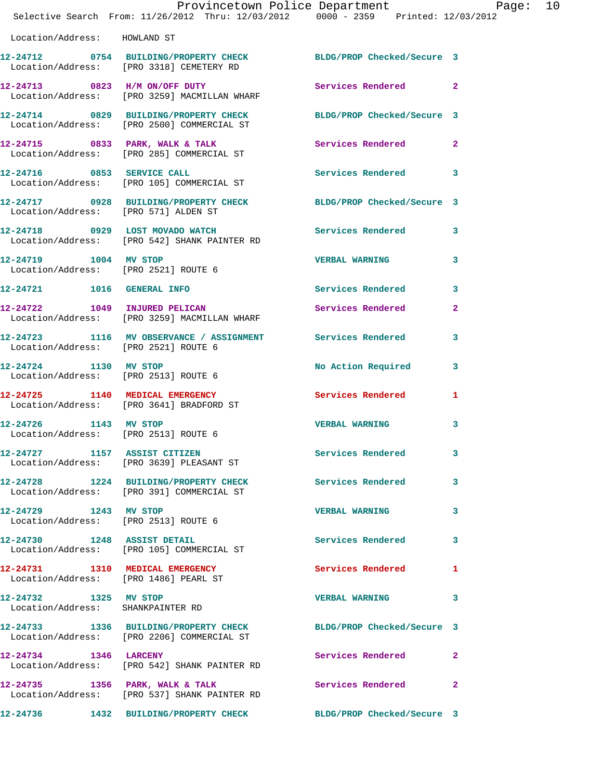|                                                            | Provincetown Police Department Page: 10<br>Selective Search From: 11/26/2012 Thru: 12/03/2012 0000 - 2359 Printed: 12/03/2012 |                       |              |  |
|------------------------------------------------------------|-------------------------------------------------------------------------------------------------------------------------------|-----------------------|--------------|--|
| Location/Address: HOWLAND ST                               |                                                                                                                               |                       |              |  |
|                                                            | 12-24712 0754 BUILDING/PROPERTY CHECK BLDG/PROP Checked/Secure 3<br>Location/Address: [PRO 3318] CEMETERY RD                  |                       |              |  |
|                                                            | 12-24713 0823 H/M ON/OFF DUTY<br>Location/Address: [PRO 3259] MACMILLAN WHARF                                                 | Services Rendered 2   |              |  |
|                                                            | 12-24714 0829 BUILDING/PROPERTY CHECK BLDG/PROP Checked/Secure 3<br>Location/Address: [PRO 2500] COMMERCIAL ST                |                       |              |  |
|                                                            | 12-24715 0833 PARK, WALK & TALK Services Rendered 2<br>Location/Address: [PRO 285] COMMERCIAL ST                              |                       |              |  |
|                                                            | 12-24716 0853 SERVICE CALL<br>Location/Address: [PRO 105] COMMERCIAL ST                                                       | Services Rendered 3   |              |  |
|                                                            | 12-24717 0928 BUILDING/PROPERTY CHECK BLDG/PROP Checked/Secure 3<br>Location/Address: [PRO 571] ALDEN ST                      |                       |              |  |
|                                                            | 12-24718 0929 LOST MOVADO WATCH Services Rendered 3<br>Location/Address: [PRO 542] SHANK PAINTER RD                           |                       |              |  |
|                                                            | 12-24719 1004 MV STOP<br>Location/Address: [PRO 2521] ROUTE 6                                                                 | <b>VERBAL WARNING</b> | 3            |  |
|                                                            | 12-24721 1016 GENERAL INFO                                                                                                    | Services Rendered 3   |              |  |
|                                                            | 12-24722 1049 INJURED PELICAN<br>Location/Address: [PRO 3259] MACMILLAN WHARF                                                 | Services Rendered     | $\mathbf{2}$ |  |
|                                                            | 12-24723 1116 MV OBSERVANCE / ASSIGNMENT Services Rendered<br>Location/Address: [PRO 2521] ROUTE 6                            |                       | 3            |  |
|                                                            | 12-24724 1130 MV STOP<br>Location/Address: [PRO 2513] ROUTE 6                                                                 | No Action Required 3  |              |  |
|                                                            | 12-24725 1140 MEDICAL EMERGENCY<br>Location/Address: [PRO 3641] BRADFORD ST                                                   | Services Rendered     | 1            |  |
| Location/Address: [PRO 2513] ROUTE 6                       | 12-24726 1143 MV STOP                                                                                                         | <b>VERBAL WARNING</b> | 3            |  |
|                                                            | 12-24727 1157 ASSIST CITIZEN<br>Location/Address: [PRO 3639] PLEASANT ST                                                      | Services Rendered 3   |              |  |
|                                                            | 12-24728 1224 BUILDING/PROPERTY CHECK<br>Location/Address: [PRO 391] COMMERCIAL ST                                            | Services Rendered 3   |              |  |
| 12-24729 1243 MV STOP                                      | Location/Address: [PRO 2513] ROUTE 6                                                                                          | <b>VERBAL WARNING</b> | 3            |  |
|                                                            | 12-24730 1248 ASSIST DETAIL<br>Location/Address: [PRO 105] COMMERCIAL ST                                                      | Services Rendered     | 3            |  |
|                                                            | 12-24731 1310 MEDICAL EMERGENCY<br>Location/Address: [PRO 1486] PEARL ST                                                      | Services Rendered     | $\mathbf{1}$ |  |
| 12-24732 1325 MV STOP<br>Location/Address: SHANKPAINTER RD |                                                                                                                               | <b>VERBAL WARNING</b> | 3            |  |
|                                                            | 12-24733 1336 BUILDING/PROPERTY CHECK BLDG/PROP Checked/Secure 3<br>Location/Address: [PRO 2206] COMMERCIAL ST                |                       |              |  |
| 12-24734 1346 LARCENY                                      | Location/Address: [PRO 542] SHANK PAINTER RD                                                                                  | Services Rendered     | -2           |  |
|                                                            | 12-24735 1356 PARK, WALK & TALK<br>Location/Address: [PRO 537] SHANK PAINTER RD                                               | Services Rendered     | $\mathbf{2}$ |  |
|                                                            | 12-24736 1432 BUILDING/PROPERTY CHECK BLDG/PROP Checked/Secure 3                                                              |                       |              |  |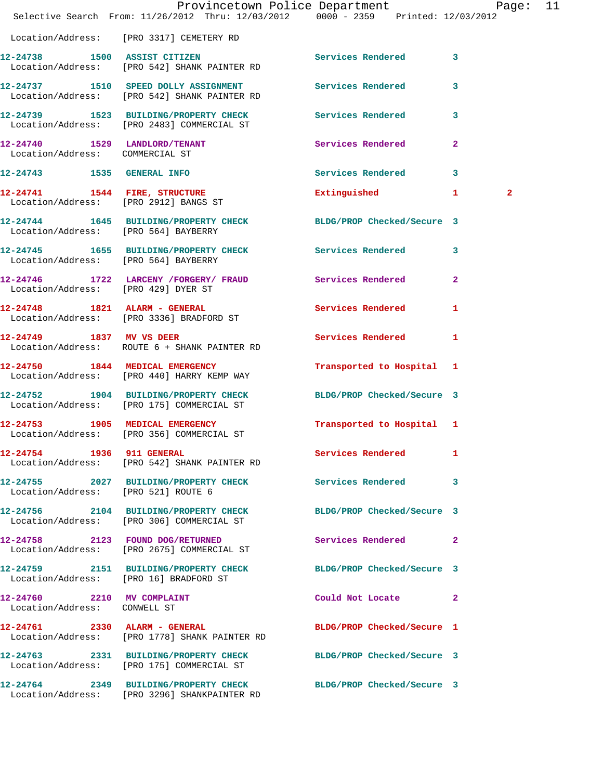|                                                            | Provincetown Police Department Page: 11<br>Selective Search From: 11/26/2012 Thru: 12/03/2012 0000 - 2359 Printed: 12/03/2012 |                            |              |  |
|------------------------------------------------------------|-------------------------------------------------------------------------------------------------------------------------------|----------------------------|--------------|--|
|                                                            | Location/Address: [PRO 3317] CEMETERY RD                                                                                      |                            |              |  |
|                                                            | 12-24738 1500 ASSIST CITIZEN<br>Location/Address: [PRO 542] SHANK PAINTER RD                                                  | Services Rendered 3        |              |  |
|                                                            | 12-24737 1510 SPEED DOLLY ASSIGNMENT Services Rendered<br>Location/Address: [PRO 542] SHANK PAINTER RD                        |                            | 3            |  |
|                                                            | 12-24739 1523 BUILDING/PROPERTY CHECK Services Rendered 3<br>Location/Address: [PRO 2483] COMMERCIAL ST                       |                            |              |  |
|                                                            | 12-24740 1529 LANDLORD/TENANT Services Rendered<br>Location/Address: COMMERCIAL ST                                            |                            | $\mathbf{2}$ |  |
|                                                            | 12-24743 1535 GENERAL INFO                                                                                                    | Services Rendered 3        |              |  |
| Location/Address: [PRO 2912] BANGS ST                      | 12-24741 1544 FIRE, STRUCTURE                                                                                                 | Extinguished 1             | $\mathbf{2}$ |  |
| Location/Address: [PRO 564] BAYBERRY                       | 12-24744 1645 BUILDING/PROPERTY CHECK BLDG/PROP Checked/Secure 3                                                              |                            |              |  |
|                                                            | 12-24745 1655 BUILDING/PROPERTY CHECK Services Rendered 3<br>Location/Address: [PRO 564] BAYBERRY                             |                            |              |  |
|                                                            | 12-24746 1722 LARCENY /FORGERY / FRAUD Services Rendered 2<br>Location/Address: [PRO 429] DYER ST                             |                            |              |  |
|                                                            | 12-24748 1821 ALARM - GENERAL<br>Location/Address: [PRO 3336] BRADFORD ST                                                     | Services Rendered 1        |              |  |
|                                                            | 12-24749 1837 MV VS DEER<br>Location/Address: ROUTE 6 + SHANK PAINTER RD                                                      | Services Rendered          | $\mathbf{1}$ |  |
|                                                            | 12-24750 1844 MEDICAL EMERGENCY<br>Location/Address: [PRO 440] HARRY KEMP WAY                                                 | Transported to Hospital 1  |              |  |
|                                                            | 12-24752 1904 BUILDING/PROPERTY CHECK BLDG/PROP Checked/Secure 3<br>Location/Address: [PRO 175] COMMERCIAL ST                 |                            |              |  |
|                                                            | 12-24753 1905 MEDICAL EMERGENCY<br>Location/Address: [PRO 356] COMMERCIAL ST                                                  | Transported to Hospital 1  |              |  |
| 12-24754 1936 911 GENERAL                                  | Location/Address: [PRO 542] SHANK PAINTER RD                                                                                  | Services Rendered 1        |              |  |
| Location/Address: [PRO 521] ROUTE 6                        | 12-24755 2027 BUILDING/PROPERTY CHECK Services Rendered 3                                                                     |                            |              |  |
|                                                            | 12-24756 2104 BUILDING/PROPERTY CHECK BLDG/PROP Checked/Secure 3<br>Location/Address: [PRO 306] COMMERCIAL ST                 |                            |              |  |
|                                                            | 12-24758 2123 FOUND DOG/RETURNED Services Rendered 2<br>Location/Address: [PRO 2675] COMMERCIAL ST                            |                            |              |  |
|                                                            | 12-24759 2151 BUILDING/PROPERTY CHECK BLDG/PROP Checked/Secure 3<br>Location/Address: [PRO 16] BRADFORD ST                    |                            |              |  |
| 12-24760 2210 MV COMPLAINT<br>Location/Address: CONWELL ST |                                                                                                                               | Could Not Locate 2         |              |  |
|                                                            | 12-24761 2330 ALARM - GENERAL<br>Location/Address: [PRO 1778] SHANK PAINTER RD                                                | BLDG/PROP Checked/Secure 1 |              |  |
|                                                            | 12-24763 2331 BUILDING/PROPERTY CHECK BLDG/PROP Checked/Secure 3<br>Location/Address: [PRO 175] COMMERCIAL ST                 |                            |              |  |
|                                                            | 12-24764 2349 BUILDING/PROPERTY CHECK BLDG/PROP Checked/Secure 3<br>Location/Address: [PRO 3296] SHANKPAINTER RD              |                            |              |  |
|                                                            |                                                                                                                               |                            |              |  |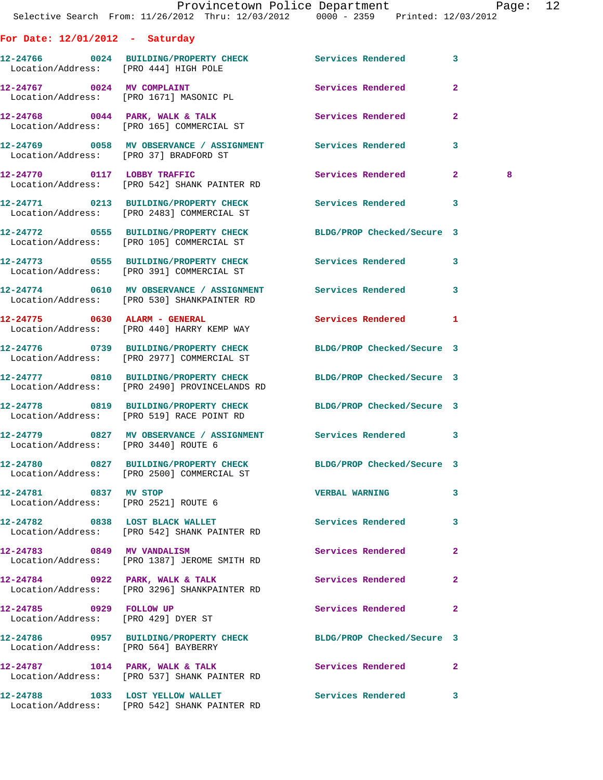|                                      | Provincetown Police Department The Rage: 12<br>Selective Search From: 11/26/2012 Thru: 12/03/2012  0000 - 2359  Printed: 12/03/2012 |                          |                         |  |
|--------------------------------------|-------------------------------------------------------------------------------------------------------------------------------------|--------------------------|-------------------------|--|
| For Date: $12/01/2012$ - Saturday    |                                                                                                                                     |                          |                         |  |
|                                      | 12-24766 0024 BUILDING/PROPERTY CHECK Services Rendered 3<br>Location/Address: [PRO 444] HIGH POLE                                  |                          |                         |  |
|                                      | 12-24767 0024 MV COMPLAINT<br>Location/Address: [PRO 1671] MASONIC PL                                                               | Services Rendered 2      |                         |  |
|                                      | 12-24768 0044 PARK, WALK & TALK 3 Services Rendered 2<br>Location/Address: [PRO 165] COMMERCIAL ST                                  |                          |                         |  |
|                                      | 12-24769 0058 MV OBSERVANCE / ASSIGNMENT Services Rendered 3<br>Location/Address: [PRO 37] BRADFORD ST                              |                          |                         |  |
|                                      | 12-24770 0117 LOBBY TRAFFIC<br>Location/Address: [PRO 542] SHANK PAINTER RD                                                         | Services Rendered 2      | 8                       |  |
|                                      | 12-24771 0213 BUILDING/PROPERTY CHECK Services Rendered 3<br>Location/Address: [PRO 2483] COMMERCIAL ST                             |                          |                         |  |
|                                      | 12-24772 0555 BUILDING/PROPERTY CHECK BLDG/PROP Checked/Secure 3<br>Location/Address: [PRO 105] COMMERCIAL ST                       |                          |                         |  |
|                                      | 12-24773 0555 BUILDING/PROPERTY CHECK Services Rendered 3<br>Location/Address: [PRO 391] COMMERCIAL ST                              |                          |                         |  |
|                                      | 12-24774 0610 MV OBSERVANCE / ASSIGNMENT Services Rendered 3<br>Location/Address: [PRO 530] SHANKPAINTER RD                         |                          |                         |  |
|                                      | 12-24775 0630 ALARM - GENERAL<br>Location/Address: [PRO 440] HARRY KEMP WAY                                                         | Services Rendered 1      |                         |  |
|                                      | 12-24776 0739 BUILDING/PROPERTY CHECK BLDG/PROP Checked/Secure 3<br>Location/Address: [PRO 2977] COMMERCIAL ST                      |                          |                         |  |
|                                      | 12-24777 0810 BUILDING/PROPERTY CHECK BLDG/PROP Checked/Secure 3<br>Location/Address: [PRO 2490] PROVINCELANDS RD                   |                          |                         |  |
|                                      | 12-24778 0819 BUILDING/PROPERTY CHECK BLDG/PROP Checked/Secure 3<br>Location/Address: [PRO 519] RACE POINT RD                       |                          |                         |  |
| Location/Address: [PRO 3440] ROUTE 6 | 12-24779 0827 MV OBSERVANCE / ASSIGNMENT Services Rendered 3                                                                        |                          |                         |  |
|                                      | 12-24780 0827 BUILDING/PROPERTY CHECK BLDG/PROP Checked/Secure 3<br>Location/Address: [PRO 2500] COMMERCIAL ST                      |                          |                         |  |
| 12-24781 0837 MV STOP                | Location/Address: [PRO 2521] ROUTE 6                                                                                                | VERBAL WARNING 3         |                         |  |
|                                      | 12-24782 0838 LOST BLACK WALLET<br>Location/Address: [PRO 542] SHANK PAINTER RD                                                     | Services Rendered        | $\overline{\mathbf{3}}$ |  |
| 12-24783 0849 MV VANDALISM           | Location/Address: [PRO 1387] JEROME SMITH RD                                                                                        | Services Rendered        | $\mathbf{2}$            |  |
|                                      | 12-24784 0922 PARK, WALK & TALK<br>Location/Address: [PRO 3296] SHANKPAINTER RD                                                     | Services Rendered        | $\mathbf{2}$            |  |
| 12-24785 0929 FOLLOW UP              | Location/Address: [PRO 429] DYER ST                                                                                                 | Services Rendered        | $\mathbf{2}$            |  |
| Location/Address: [PRO 564] BAYBERRY | 12-24786 0957 BUILDING/PROPERTY CHECK BLDG/PROP Checked/Secure 3                                                                    |                          |                         |  |
|                                      | 12-24787 1014 PARK, WALK & TALK<br>Location/Address: [PRO 537] SHANK PAINTER RD                                                     | <b>Services Rendered</b> | $\mathbf{2}$            |  |
|                                      | 12-24788 1033 LOST YELLOW WALLET<br>Location/Address: [PRO 542] SHANK PAINTER RD                                                    | Services Rendered 3      |                         |  |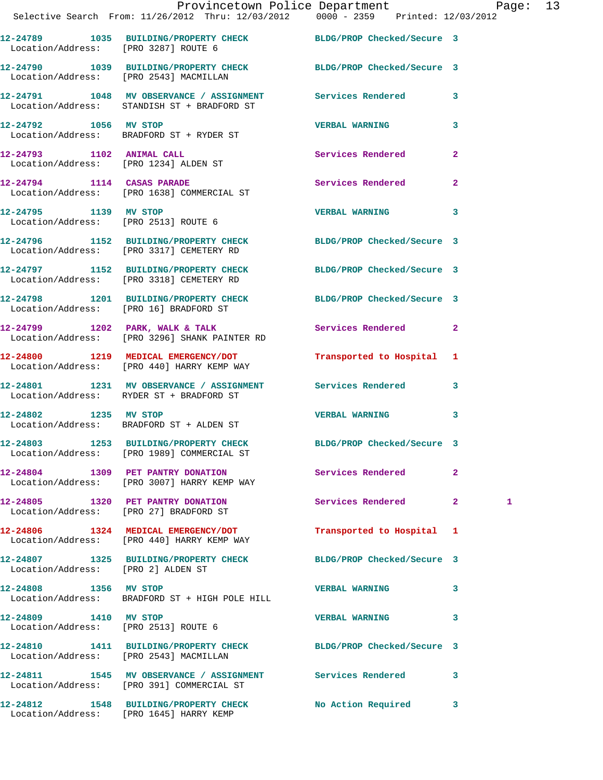|                                    | Provincetown Police Department Page: 13<br>Selective Search From: 11/26/2012 Thru: 12/03/2012 0000 - 2359 Printed: 12/03/2012 |                            |              |   |  |
|------------------------------------|-------------------------------------------------------------------------------------------------------------------------------|----------------------------|--------------|---|--|
|                                    | 12-24789 1035 BUILDING/PROPERTY CHECK BLDG/PROP Checked/Secure 3<br>Location/Address: [PRO 3287] ROUTE 6                      |                            |              |   |  |
|                                    | 12-24790 1039 BUILDING/PROPERTY CHECK BLDG/PROP Checked/Secure 3<br>Location/Address: [PRO 2543] MACMILLAN                    |                            |              |   |  |
|                                    | 12-24791 1048 MV OBSERVANCE / ASSIGNMENT Services Rendered 3<br>Location/Address: STANDISH ST + BRADFORD ST                   |                            |              |   |  |
|                                    | 12-24792 1056 MV STOP<br>Location/Address: BRADFORD ST + RYDER ST                                                             | <b>VERBAL WARNING</b>      | $\mathbf{3}$ |   |  |
|                                    | 12-24793 1102 ANIMAL CALL<br>Location/Address: [PRO 1234] ALDEN ST                                                            | Services Rendered          | $\mathbf{2}$ |   |  |
|                                    | 12-24794 1114 CASAS PARADE<br>Location/Address: [PRO 1638] COMMERCIAL ST                                                      | Services Rendered 2        |              |   |  |
|                                    | 12-24795 1139 MV STOP<br>Location/Address: [PRO 2513] ROUTE 6                                                                 | VERBAL WARNING 3           |              |   |  |
|                                    | 12-24796 1152 BUILDING/PROPERTY CHECK BLDG/PROP Checked/Secure 3<br>Location/Address: [PRO 3317] CEMETERY RD                  |                            |              |   |  |
|                                    | 12-24797 1152 BUILDING/PROPERTY CHECK BLDG/PROP Checked/Secure 3<br>Location/Address: [PRO 3318] CEMETERY RD                  |                            |              |   |  |
|                                    | 12-24798 1201 BUILDING/PROPERTY CHECK BLDG/PROP Checked/Secure 3<br>Location/Address: [PRO 16] BRADFORD ST                    |                            |              |   |  |
|                                    | 12-24799 1202 PARK, WALK & TALK<br>Location/Address: [PRO 3296] SHANK PAINTER RD                                              | Services Rendered 2        |              |   |  |
|                                    | 12-24800 1219 MEDICAL EMERGENCY/DOT<br>Location/Address: [PRO 440] HARRY KEMP WAY                                             | Transported to Hospital 1  |              |   |  |
|                                    | 12-24801 1231 MV OBSERVANCE / ASSIGNMENT Services Rendered 3<br>Location/Address: RYDER ST + BRADFORD ST                      |                            |              |   |  |
| 12-24802 1235 MV STOP              | Location/Address: BRADFORD ST + ALDEN ST                                                                                      | <b>VERBAL WARNING</b>      | $\mathbf{3}$ |   |  |
|                                    | 12-24803 1253 BUILDING/PROPERTY CHECK<br>Location/Address: [PRO 1989] COMMERCIAL ST                                           | BLDG/PROP Checked/Secure 3 |              |   |  |
|                                    | 12-24804 1309 PET PANTRY DONATION<br>Location/Address: [PRO 3007] HARRY KEMP WAY                                              | Services Rendered          | $\mathbf{2}$ |   |  |
|                                    | 12-24805 1320 PET PANTRY DONATION<br>Location/Address: [PRO 27] BRADFORD ST                                                   | Services Rendered 2        |              | 1 |  |
|                                    | 12-24806 1324 MEDICAL EMERGENCY/DOT<br>Location/Address: [PRO 440] HARRY KEMP WAY                                             | Transported to Hospital 1  |              |   |  |
| Location/Address: [PRO 2] ALDEN ST | 12-24807 1325 BUILDING/PROPERTY CHECK BLDG/PROP Checked/Secure 3                                                              |                            |              |   |  |
| 12-24808 1356 MV STOP              | Location/Address: BRADFORD ST + HIGH POLE HILL                                                                                | <b>VERBAL WARNING</b>      | 3            |   |  |
|                                    | 12-24809 1410 MV STOP<br>Location/Address: [PRO 2513] ROUTE 6                                                                 | <b>VERBAL WARNING</b>      | 3            |   |  |
|                                    | 12-24810 1411 BUILDING/PROPERTY CHECK BLDG/PROP Checked/Secure 3<br>Location/Address: [PRO 2543] MACMILLAN                    |                            |              |   |  |
|                                    | 12-24811 1545 MV OBSERVANCE / ASSIGNMENT Services Rendered 3<br>Location/Address: [PRO 391] COMMERCIAL ST                     |                            |              |   |  |

**12-24812 1548 BUILDING/PROPERTY CHECK No Action Required 3** 

Location/Address: [PRO 1645] HARRY KEMP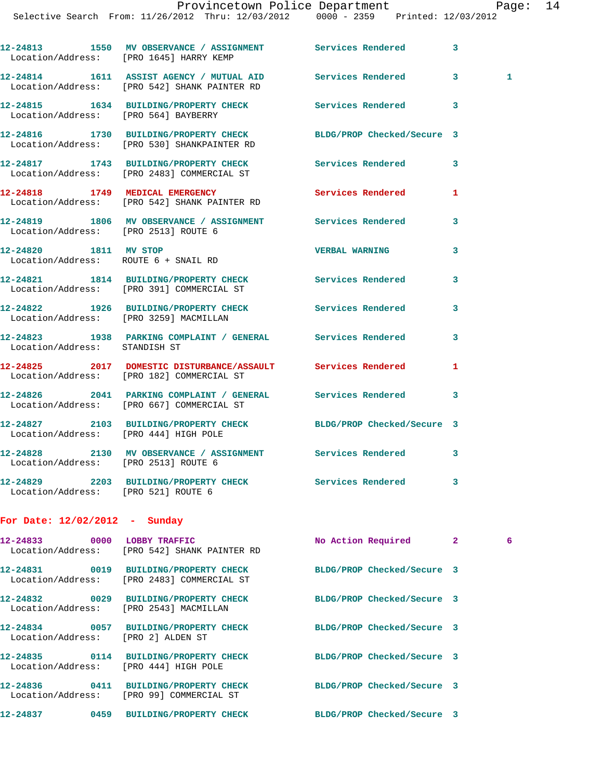|                                                               | 12-24813 1550 MV OBSERVANCE / ASSIGNMENT Services Rendered<br>Location/Address: [PRO 1645] HARRY KEMP      |                            | 3 |              |
|---------------------------------------------------------------|------------------------------------------------------------------------------------------------------------|----------------------------|---|--------------|
|                                                               | 12-24814 1611 ASSIST AGENCY / MUTUAL AID Services Rendered<br>Location/Address: [PRO 542] SHANK PAINTER RD |                            | 3 | $\mathbf{1}$ |
| Location/Address: [PRO 564] BAYBERRY                          | 12-24815   1634 BUILDING/PROPERTY CHECK                                                                    | Services Rendered          | 3 |              |
|                                                               | 12-24816 1730 BUILDING/PROPERTY CHECK<br>Location/Address: [PRO 530] SHANKPAINTER RD                       | BLDG/PROP Checked/Secure 3 |   |              |
|                                                               | 12-24817 1743 BUILDING/PROPERTY CHECK Services Rendered<br>Location/Address: [PRO 2483] COMMERCIAL ST      |                            | 3 |              |
|                                                               | 12-24818 1749 MEDICAL EMERGENCY<br>Location/Address: [PRO 542] SHANK PAINTER RD                            | Services Rendered          | 1 |              |
| Location/Address: [PRO 2513] ROUTE 6                          | 12-24819 1806 MV OBSERVANCE / ASSIGNMENT Services Rendered                                                 |                            | 3 |              |
| 12-24820 1811 MV STOP<br>Location/Address: ROUTE 6 + SNAIL RD |                                                                                                            | <b>VERBAL WARNING</b>      | 3 |              |
|                                                               | 12-24821 1814 BUILDING/PROPERTY CHECK<br>Location/Address: [PRO 391] COMMERCIAL ST                         | Services Rendered          | 3 |              |
|                                                               | 12-24822 1926 BUILDING/PROPERTY CHECK Services Rendered<br>Location/Address: [PRO 3259] MACMILLAN          |                            | 3 |              |
| Location/Address: STANDISH ST                                 | 12-24823 1938 PARKING COMPLAINT / GENERAL Services Rendered                                                |                            | 3 |              |
|                                                               | 12-24825 2017 DOMESTIC DISTURBANCE/ASSAULT Services Rendered<br>Location/Address: [PRO 182] COMMERCIAL ST  |                            | 1 |              |
|                                                               | 12-24826 2041 PARKING COMPLAINT / GENERAL Services Rendered<br>Location/Address: [PRO 667] COMMERCIAL ST   |                            | 3 |              |
| Location/Address: [PRO 444] HIGH POLE                         | 12-24827 2103 BUILDING/PROPERTY CHECK BLDG/PROP Checked/Secure 3                                           |                            |   |              |
| Location/Address: [PRO 2513] ROUTE 6                          | 12-24828 2130 MV OBSERVANCE / ASSIGNMENT Services Rendered                                                 |                            | 3 |              |
|                                                               | 12-24829 2203 BUILDING/PROPERTY CHECK Services Rendered<br>Location/Address: [PRO 521] ROUTE 6             |                            | 3 |              |

## **For Date: 12/02/2012 - Sunday**

| 12-24833 0000 LOBBY TRAFFIC            | Location/Address: [PRO 542] SHANK PAINTER RD | No Action Required 2       | 6 |
|----------------------------------------|----------------------------------------------|----------------------------|---|
|                                        | Location/Address: [PRO 2483] COMMERCIAL ST   | BLDG/PROP Checked/Secure 3 |   |
| Location/Address: [PRO 2543] MACMILLAN |                                              | BLDG/PROP Checked/Secure 3 |   |
| Location/Address: [PRO 2] ALDEN ST     |                                              | BLDG/PROP Checked/Secure 3 |   |
| Location/Address: [PRO 444] HIGH POLE  |                                              | BLDG/PROP Checked/Secure 3 |   |
|                                        | Location/Address: [PRO 99] COMMERCIAL ST     | BLDG/PROP Checked/Secure 3 |   |
| 0459<br>12-24837                       | BUILDING/PROPERTY CHECK                      | BLDG/PROP Checked/Secure 3 |   |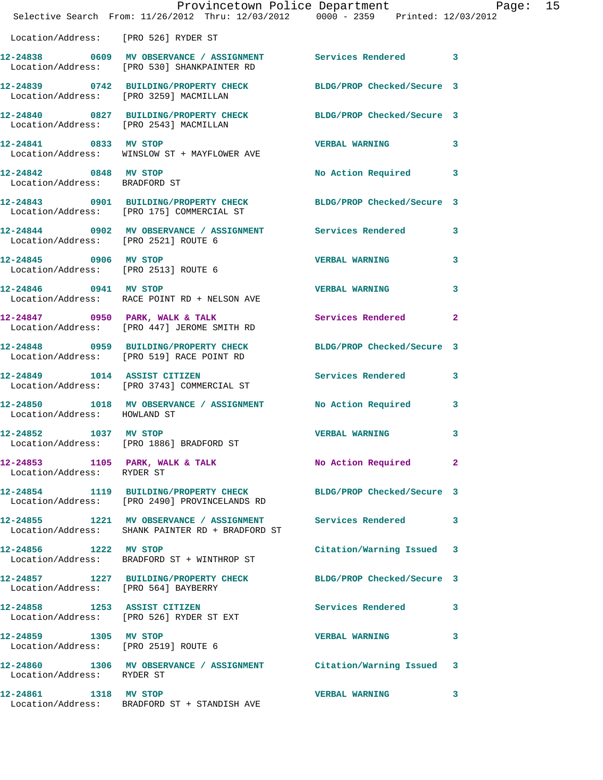|                                                        | Provincetown Police Department Page: 15<br>Selective Search From: 11/26/2012 Thru: 12/03/2012 0000 - 2359 Printed: 12/03/2012 |                           |   |  |
|--------------------------------------------------------|-------------------------------------------------------------------------------------------------------------------------------|---------------------------|---|--|
| Location/Address: [PRO 526] RYDER ST                   |                                                                                                                               |                           |   |  |
|                                                        | 12-24838 0609 MV OBSERVANCE / ASSIGNMENT Services Rendered 3<br>Location/Address: [PRO 530] SHANKPAINTER RD                   |                           |   |  |
|                                                        | 12-24839 0742 BUILDING/PROPERTY CHECK BLDG/PROP Checked/Secure 3<br>Location/Address: [PRO 3259] MACMILLAN                    |                           |   |  |
|                                                        | 12-24840 0827 BUILDING/PROPERTY CHECK BLDG/PROP Checked/Secure 3<br>Location/Address: [PRO 2543] MACMILLAN                    |                           |   |  |
|                                                        | 12-24841 0833 MV STOP<br>Location/Address: WINSLOW ST + MAYFLOWER AVE                                                         | <b>VERBAL WARNING</b>     | 3 |  |
| 12-24842 0848 MV STOP<br>Location/Address: BRADFORD ST |                                                                                                                               | No Action Required 3      |   |  |
|                                                        | 12-24843 0901 BUILDING/PROPERTY CHECK BLDG/PROP Checked/Secure 3<br>Location/Address: [PRO 175] COMMERCIAL ST                 |                           |   |  |
| Location/Address: [PRO 2521] ROUTE 6                   | 12-24844 0902 MV OBSERVANCE / ASSIGNMENT Services Rendered 3                                                                  |                           |   |  |
| 12-24845 0906 MV STOP                                  | Location/Address: [PRO 2513] ROUTE 6                                                                                          | <b>VERBAL WARNING</b>     | 3 |  |
|                                                        | Location/Address: RACE POINT RD + NELSON AVE                                                                                  |                           | 3 |  |
|                                                        | 12-24847 0950 PARK, WALK & TALK<br>Location/Address: [PRO 447] JEROME SMITH RD                                                | Services Rendered 2       |   |  |
|                                                        | 12-24848 0959 BUILDING/PROPERTY CHECK BLDG/PROP Checked/Secure 3<br>Location/Address: [PRO 519] RACE POINT RD                 |                           |   |  |
|                                                        | 12-24849 1014 ASSIST CITIZEN Services Rendered 3<br>Location/Address: [PRO 3743] COMMERCIAL ST                                |                           |   |  |
| Location/Address: HOWLAND ST                           | 12-24850 1018 MV OBSERVANCE / ASSIGNMENT No Action Required 3                                                                 |                           |   |  |
| 12-24852 1037 MV STOP                                  | Location/Address: [PRO 1886] BRADFORD ST                                                                                      | <b>VERBAL WARNING</b>     | 3 |  |
| Location/Address: RYDER ST                             | 12-24853 1105 PARK, WALK & TALK 1999 No Action Required 2                                                                     |                           |   |  |
|                                                        | 12-24854 1119 BUILDING/PROPERTY CHECK BLDG/PROP Checked/Secure 3<br>Location/Address: [PRO 2490] PROVINCELANDS RD             |                           |   |  |
|                                                        | 12-24855 1221 MV OBSERVANCE / ASSIGNMENT Services Rendered 3<br>Location/Address: SHANK PAINTER RD + BRADFORD ST              |                           |   |  |
| 12-24856 1222 MV STOP                                  | Location/Address: BRADFORD ST + WINTHROP ST                                                                                   | Citation/Warning Issued 3 |   |  |
| Location/Address: [PRO 564] BAYBERRY                   | 12-24857 1227 BUILDING/PROPERTY CHECK BLDG/PROP Checked/Secure 3                                                              |                           |   |  |
|                                                        | 12-24858 1253 ASSIST CITIZEN<br>Location/Address: [PRO 526] RYDER ST EXT                                                      | Services Rendered 3       |   |  |
| 12-24859 1305 MV STOP                                  | Location/Address: [PRO 2519] ROUTE 6                                                                                          | <b>VERBAL WARNING</b>     | 3 |  |
| Location/Address: RYDER ST                             | 12-24860 1306 MV OBSERVANCE / ASSIGNMENT Citation/Warning Issued 3                                                            |                           |   |  |
| 12-24861 1318 MV STOP                                  | Location/Address: BRADFORD ST + STANDISH AVE                                                                                  | <b>VERBAL WARNING</b>     | 3 |  |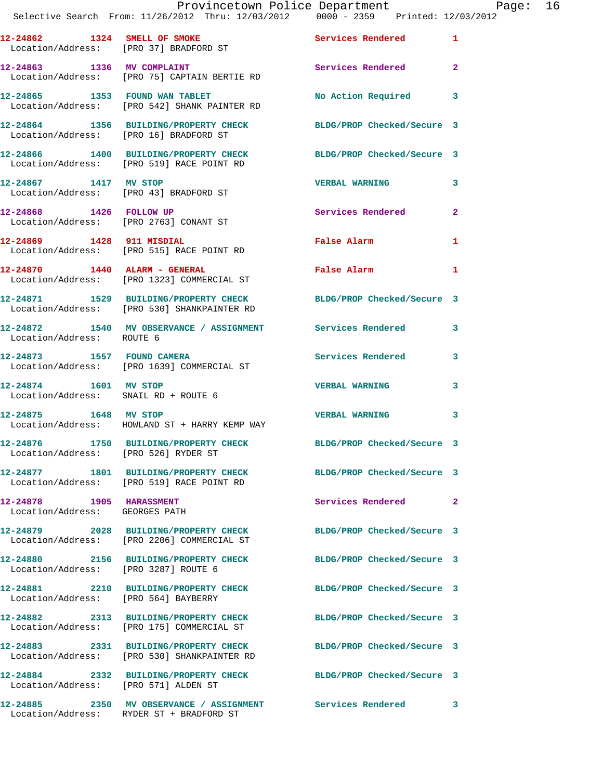|                           | Provincetown Police Department Page: 16<br>Selective Search From: $11/26/2012$ Thru: $12/03/2012$ 0000 - 2359 Printed: $12/03/2012$ |                            |                |
|---------------------------|-------------------------------------------------------------------------------------------------------------------------------------|----------------------------|----------------|
|                           | 12-24862 1324 SMELL OF SMOKE Services Rendered 1<br>Location/Address: [PRO 37] BRADFORD ST                                          |                            |                |
|                           | 12-24863 1336 MV COMPLAINT<br>Location/Address: [PRO 75] CAPTAIN BERTIE RD                                                          | Services Rendered          | $\overline{2}$ |
|                           | 12-24865 1353 FOUND WAN TABLET<br>Location/Address: [PRO 542] SHANK PAINTER RD                                                      | No Action Required 3       |                |
|                           | 12-24864 1356 BUILDING/PROPERTY CHECK BLDG/PROP Checked/Secure 3<br>Location/Address: [PRO 16] BRADFORD ST                          |                            |                |
|                           | 12-24866 1400 BUILDING/PROPERTY CHECK BLDG/PROP Checked/Secure 3<br>Location/Address: [PRO 519] RACE POINT RD                       |                            |                |
|                           | 12-24867 1417 MV STOP<br>Location/Address: [PRO 43] BRADFORD ST                                                                     | <b>VERBAL WARNING</b>      | 3              |
|                           | 12-24868 1426 FOLLOW UP<br>Location/Address: [PRO 2763] CONANT ST                                                                   | Services Rendered 2        |                |
|                           | 12-24869 1428 911 MISDIAL<br>Location/Address: [PRO 515] RACE POINT RD                                                              | False Alarm                | 1              |
|                           | $12-24870$ $1440$ $\lambda$ LARM - GENERAL<br>Location/Address: [PRO 1323] COMMERCIAL ST                                            | False Alarm 1              |                |
|                           | 12-24871 1529 BUILDING/PROPERTY CHECK BLDG/PROP Checked/Secure 3<br>Location/Address: [PRO 530] SHANKPAINTER RD                     |                            |                |
| Location/Address: ROUTE 6 | 12-24872 1540 MV OBSERVANCE / ASSIGNMENT Services Rendered 3                                                                        |                            |                |
|                           | 12-24873 1557 FOUND CAMERA<br>Location/Address: [PRO 1639] COMMERCIAL ST                                                            | Services Rendered          | 3              |
| 12-24874 1601 MV STOP     | Location/Address: SNAIL RD + ROUTE 6                                                                                                | <b>VERBAL WARNING</b>      | 3              |
|                           | 12-24875 1648 MV STOP<br>Location/Address: HOWLAND ST + HARRY KEMP WAY                                                              | <b>VERBAL WARNING</b>      | 3              |
|                           | 12-24876 1750 BUILDING/PROPERTY CHECK<br>Location/Address: [PRO 526] RYDER ST                                                       | BLDG/PROP Checked/Secure 3 |                |
|                           | 12-24877 1801 BUILDING/PROPERTY CHECK BLDG/PROP Checked/Secure 3<br>Location/Address: [PRO 519] RACE POINT RD                       |                            |                |
| 12-24878 1905 HARASSMENT  | Location/Address: GEORGES PATH                                                                                                      | Services Rendered          | $\overline{2}$ |
|                           | 12-24879 2028 BUILDING/PROPERTY CHECK<br>Location/Address: [PRO 2206] COMMERCIAL ST                                                 | BLDG/PROP Checked/Secure 3 |                |
|                           | 12-24880 2156 BUILDING/PROPERTY CHECK BLDG/PROP Checked/Secure 3<br>Location/Address: [PRO 3287] ROUTE 6                            |                            |                |
|                           | 12-24881 2210 BUILDING/PROPERTY CHECK<br>Location/Address: [PRO 564] BAYBERRY                                                       | BLDG/PROP Checked/Secure 3 |                |
|                           | 12-24882 2313 BUILDING/PROPERTY CHECK<br>Location/Address: [PRO 175] COMMERCIAL ST                                                  | BLDG/PROP Checked/Secure 3 |                |
|                           | 12-24883 2331 BUILDING/PROPERTY CHECK<br>Location/Address: [PRO 530] SHANKPAINTER RD                                                | BLDG/PROP Checked/Secure 3 |                |
|                           | 12-24884 2332 BUILDING/PROPERTY CHECK BLDG/PROP Checked/Secure 3<br>Location/Address: [PRO 571] ALDEN ST                            |                            |                |
|                           |                                                                                                                                     |                            |                |

Location/Address: RYDER ST + BRADFORD ST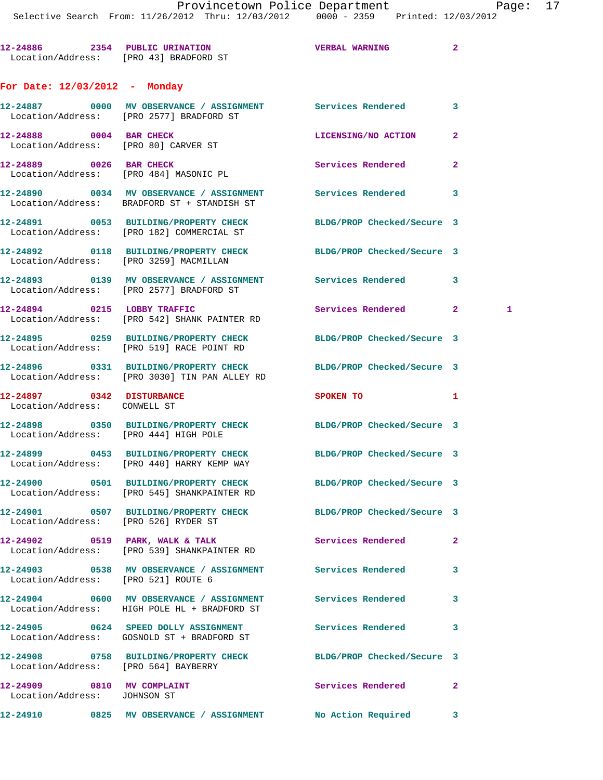**12-24886 2354 PUBLIC URINATION VERBAL WARNING 2**  Location/Address: [PRO 43] BRADFORD ST **For Date: 12/03/2012 - Monday**

**12-24887 0000 MV OBSERVANCE / ASSIGNMENT Services Rendered 3**  Location/Address: [PRO 2577] BRADFORD ST **12-24888** 0004 BAR CHECK LICENSING/NO ACTION 2 Location/Address: [PRO 80] CARVER ST **12-24889** 0026 BAR CHECK **Services Rendered** 2 Location/Address: [PRO 484] MASONIC PL **12-24890 0034 MV OBSERVANCE / ASSIGNMENT Services Rendered 3**  Location/Address: BRADFORD ST + STANDISH ST **12-24891 0053 BUILDING/PROPERTY CHECK BLDG/PROP Checked/Secure 3**  Location/Address: [PRO 182] COMMERCIAL ST **12-24892 0118 BUILDING/PROPERTY CHECK BLDG/PROP Checked/Secure 3**  Location/Address: [PRO 3259] MACMILLAN **12-24893 0139 MV OBSERVANCE / ASSIGNMENT Services Rendered 3**  Location/Address: [PRO 2577] BRADFORD ST **12-24894 0215 LOBBY TRAFFIC Services Rendered 2 1**  Location/Address: [PRO 542] SHANK PAINTER RD **12-24895 0259 BUILDING/PROPERTY CHECK BLDG/PROP Checked/Secure 3**  Location/Address: [PRO 519] RACE POINT RD **12-24896 0331 BUILDING/PROPERTY CHECK BLDG/PROP Checked/Secure 3**  Location/Address: [PRO 3030] TIN PAN ALLEY RD **12-24897 0342 DISTURBANCE SPOKEN TO 1**  Location/Address: CONWELL ST **12-24898 0350 BUILDING/PROPERTY CHECK BLDG/PROP Checked/Secure 3**  Location/Address: [PRO 444] HIGH POLE **12-24899 0453 BUILDING/PROPERTY CHECK BLDG/PROP Checked/Secure 3**  Location/Address: [PRO 440] HARRY KEMP WAY **12-24900 0501 BUILDING/PROPERTY CHECK BLDG/PROP Checked/Secure 3**  Location/Address: [PRO 545] SHANKPAINTER RD **12-24901 0507 BUILDING/PROPERTY CHECK BLDG/PROP Checked/Secure 3**  Location/Address: [PRO 526] RYDER ST 12-24902 0519 PARK, WALK & TALK **Services Rendered** 2 Location/Address: [PRO 539] SHANKPAINTER RD **12-24903 0538 MV OBSERVANCE / ASSIGNMENT Services Rendered 3**  Location/Address: [PRO 521] ROUTE 6 **12-24904 0600 MV OBSERVANCE / ASSIGNMENT Services Rendered 3**  Location/Address: HIGH POLE HL + BRADFORD ST **12-24905 0624 SPEED DOLLY ASSIGNMENT Services Rendered 3**  Location/Address: GOSNOLD ST + BRADFORD ST **12-24908 0758 BUILDING/PROPERTY CHECK BLDG/PROP Checked/Secure 3**  Location/Address: [PRO 564] BAYBERRY **12-24909 0810 MV COMPLAINT Services Rendered 2**  Location/Address: JOHNSON ST

**12-24910 0825 MV OBSERVANCE / ASSIGNMENT No Action Required 3**